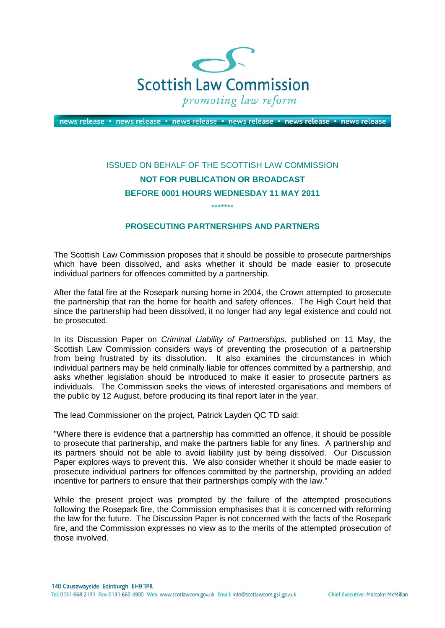

news release · news release · news release · news release · news release · news release

## ISSUED ON BEHALF OF THE SCOTTISH LAW COMMISSION **NOT FOR PUBLICATION OR BROADCAST BEFORE 0001 HOURS WEDNESDAY 11 MAY 2011**

\*\*\*\*\*\*\*

## **PROSECUTING PARTNERSHIPS AND PARTNERS**

The Scottish Law Commission proposes that it should be possible to prosecute partnerships which have been dissolved, and asks whether it should be made easier to prosecute individual partners for offences committed by a partnership.

After the fatal fire at the Rosepark nursing home in 2004, the Crown attempted to prosecute the partnership that ran the home for health and safety offences. The High Court held that since the partnership had been dissolved, it no longer had any legal existence and could not be prosecuted.

In its Discussion Paper on *Criminal Liability of Partnerships*, published on 11 May, the Scottish Law Commission considers ways of preventing the prosecution of a partnership from being frustrated by its dissolution. It also examines the circumstances in which individual partners may be held criminally liable for offences committed by a partnership, and asks whether legislation should be introduced to make it easier to prosecute partners as individuals. The Commission seeks the views of interested organisations and members of the public by 12 August, before producing its final report later in the year.

The lead Commissioner on the project, Patrick Layden QC TD said:

"Where there is evidence that a partnership has committed an offence, it should be possible to prosecute that partnership, and make the partners liable for any fines. A partnership and its partners should not be able to avoid liability just by being dissolved. Our Discussion Paper explores ways to prevent this. We also consider whether it should be made easier to prosecute individual partners for offences committed by the partnership, providing an added incentive for partners to ensure that their partnerships comply with the law."

While the present project was prompted by the failure of the attempted prosecutions following the Rosepark fire, the Commission emphasises that it is concerned with reforming the law for the future. The Discussion Paper is not concerned with the facts of the Rosepark fire, and the Commission expresses no view as to the merits of the attempted prosecution of those involved.